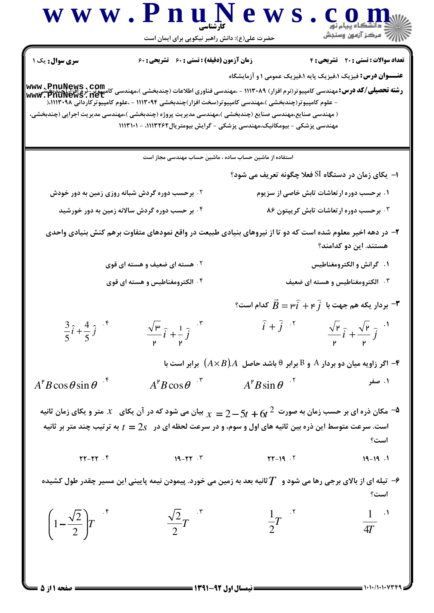D

 $=$  1+1+/1+1+77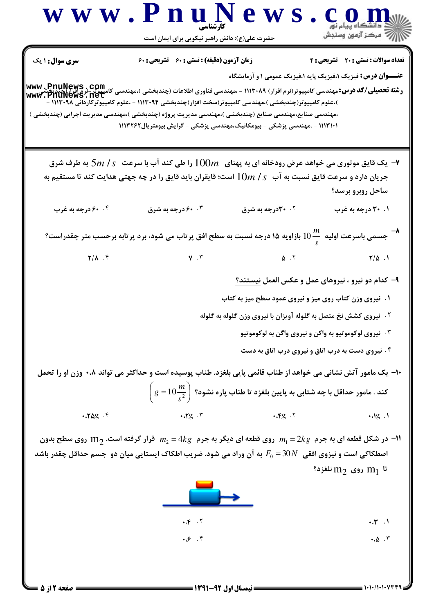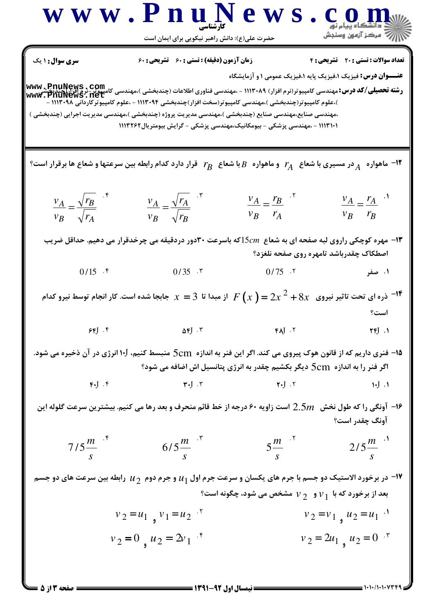| W W W . P                                                                                                                                                                                                                                                                                                                                                                                                                                                                                                                                                                                                                                                                                                                                                                                                                                                                                                                                                                                                                                                                                                                                                                                                                         | W L | W L | W L |
|-----------------------------------------------------------------------------------------------------------------------------------------------------------------------------------------------------------------------------------------------------------------------------------------------------------------------------------------------------------------------------------------------------------------------------------------------------------------------------------------------------------------------------------------------------------------------------------------------------------------------------------------------------------------------------------------------------------------------------------------------------------------------------------------------------------------------------------------------------------------------------------------------------------------------------------------------------------------------------------------------------------------------------------------------------------------------------------------------------------------------------------------------------------------------------------------------------------------------------------|-----|-----|-----|
| \n $\frac{1}{2}$ Ω <sub>1</sub> Ω <sub>2</sub> θ <sub>3</sub> θ <sub>4</sub> θ <sub>4</sub> θ <sub>5</sub> θ <sub>6</sub> Ω <sub>6</sub> Ω <sub>7</sub> Ω <sub>8</sub> Ω <sub>9</sub> Ω <sub>1</sub> Ω <sub>1</sub> θ <sub>1</sub> θ <sub>1</sub> θ <sub>1</sub> Ω <sub>1</sub> θ <sub>1</sub> θ <sub>1</sub> Ω <sub>1</sub> θ <sub>1</sub> Ω <sub>1</sub> θ <sub>2</sub> θ <sub>2</sub> Ω <sub>1</sub> θ <sub>2</sub> θ <sub>2</sub> Ω <sub>2</sub> Ω <sub>2</sub> Ω <sub>2</sub> Ω <sub>2</sub> Ω <sub>2</sub> Ω <sub>2</sub> Ω <sub>2</sub> Ω <sub>2</sub> Ω <sub>2</sub> Ω <sub>2</sub> Ω <sub>2</sub> Ω <sub>2</sub> Ω <sub>2</sub> Ω <sub>2</sub> Ω <sub>2</sub> Ω <sub>2</sub> Ω <sub>2</sub> Ω <sub>2</sub> Ω <sub>2</sub> Ω <sub>2</sub> Ω <sub>2</sub> Ω <sub>2</sub> Ω <sub>2</sub> Ω <sub>2</sub> Ω <sub>2</sub> Ω <sub>2</sub> Ω <sub>2</sub> Ω <sub>2</sub> Ω <sub>2</sub> Ω <sub>2</sub> Ω <sub>2</sub> Ω <sub>2</sub> Ω <sub>2</sub> Ω <sub>2</sub> Ω <sub>2</sub> Ω <sub>2</sub> Ω <sub>2</sub> Ω <sub>2</sub> Ω <sub>2</sub> Ω <sub>2</sub> Ω <sub>2</sub> Ω <sub>2</sub> Ω <sub>2</sub> Ω <sub>2</sub> Ω <sub>2</sub> Ω <sub>2</sub> Ω <sub>2</sub> Ω <sub>2</sub> Ω <sub>2</sub> Ω <sub>2</sub> Ω <sub></sub> |     |     |     |

 $= 1.1.11.1.14$ 

 $\Box$ مفحه ۱۳ز ۵ ک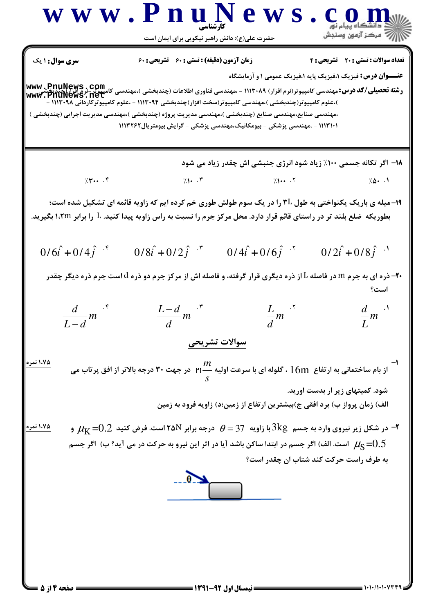n

 $= 1.1.11.1.14$